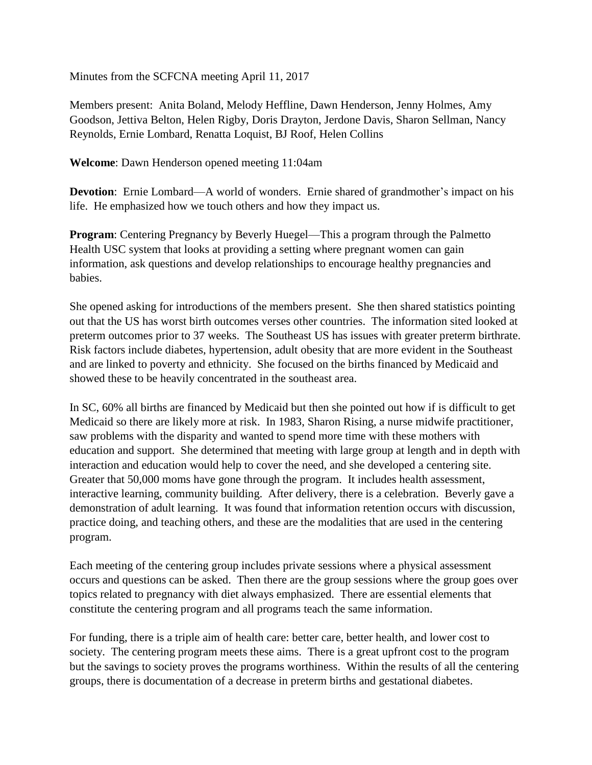Minutes from the SCFCNA meeting April 11, 2017

Members present: Anita Boland, Melody Heffline, Dawn Henderson, Jenny Holmes, Amy Goodson, Jettiva Belton, Helen Rigby, Doris Drayton, Jerdone Davis, Sharon Sellman, Nancy Reynolds, Ernie Lombard, Renatta Loquist, BJ Roof, Helen Collins

**Welcome**: Dawn Henderson opened meeting 11:04am

**Devotion**: Ernie Lombard—A world of wonders. Ernie shared of grandmother's impact on his life. He emphasized how we touch others and how they impact us.

**Program**: Centering Pregnancy by Beverly Huegel—This a program through the Palmetto Health USC system that looks at providing a setting where pregnant women can gain information, ask questions and develop relationships to encourage healthy pregnancies and babies.

She opened asking for introductions of the members present. She then shared statistics pointing out that the US has worst birth outcomes verses other countries. The information sited looked at preterm outcomes prior to 37 weeks. The Southeast US has issues with greater preterm birthrate. Risk factors include diabetes, hypertension, adult obesity that are more evident in the Southeast and are linked to poverty and ethnicity. She focused on the births financed by Medicaid and showed these to be heavily concentrated in the southeast area.

In SC, 60% all births are financed by Medicaid but then she pointed out how if is difficult to get Medicaid so there are likely more at risk. In 1983, Sharon Rising, a nurse midwife practitioner, saw problems with the disparity and wanted to spend more time with these mothers with education and support. She determined that meeting with large group at length and in depth with interaction and education would help to cover the need, and she developed a centering site. Greater that 50,000 moms have gone through the program. It includes health assessment, interactive learning, community building. After delivery, there is a celebration. Beverly gave a demonstration of adult learning. It was found that information retention occurs with discussion, practice doing, and teaching others, and these are the modalities that are used in the centering program.

Each meeting of the centering group includes private sessions where a physical assessment occurs and questions can be asked. Then there are the group sessions where the group goes over topics related to pregnancy with diet always emphasized. There are essential elements that constitute the centering program and all programs teach the same information.

For funding, there is a triple aim of health care: better care, better health, and lower cost to society. The centering program meets these aims. There is a great upfront cost to the program but the savings to society proves the programs worthiness. Within the results of all the centering groups, there is documentation of a decrease in preterm births and gestational diabetes.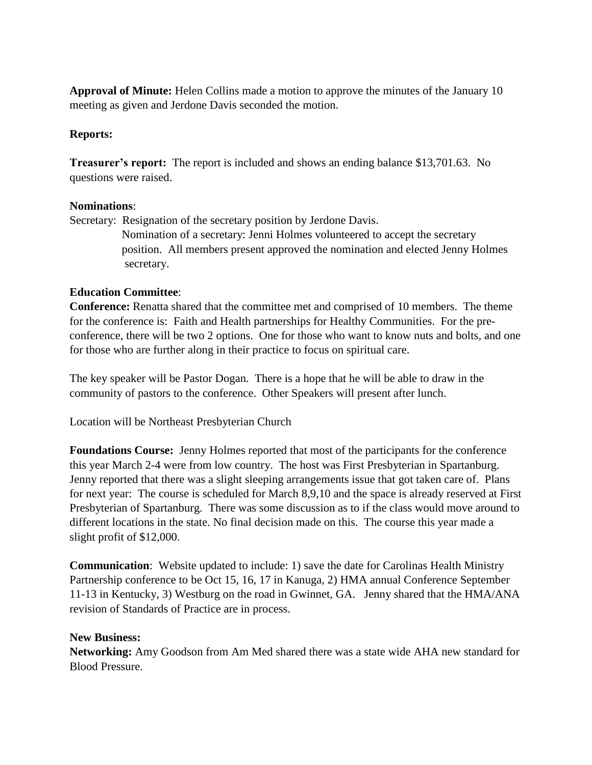**Approval of Minute:** Helen Collins made a motion to approve the minutes of the January 10 meeting as given and Jerdone Davis seconded the motion.

## **Reports:**

**Treasurer's report:** The report is included and shows an ending balance \$13,701.63. No questions were raised.

## **Nominations**:

Secretary: Resignation of the secretary position by Jerdone Davis. Nomination of a secretary: Jenni Holmes volunteered to accept the secretary position. All members present approved the nomination and elected Jenny Holmes secretary.

## **Education Committee**:

**Conference:** Renatta shared that the committee met and comprised of 10 members. The theme for the conference is: Faith and Health partnerships for Healthy Communities. For the preconference, there will be two 2 options. One for those who want to know nuts and bolts, and one for those who are further along in their practice to focus on spiritual care.

The key speaker will be Pastor Dogan. There is a hope that he will be able to draw in the community of pastors to the conference. Other Speakers will present after lunch.

Location will be Northeast Presbyterian Church

**Foundations Course:** Jenny Holmes reported that most of the participants for the conference this year March 2-4 were from low country. The host was First Presbyterian in Spartanburg. Jenny reported that there was a slight sleeping arrangements issue that got taken care of. Plans for next year: The course is scheduled for March 8,9,10 and the space is already reserved at First Presbyterian of Spartanburg. There was some discussion as to if the class would move around to different locations in the state. No final decision made on this. The course this year made a slight profit of \$12,000.

**Communication**: Website updated to include: 1) save the date for Carolinas Health Ministry Partnership conference to be Oct 15, 16, 17 in Kanuga, 2) HMA annual Conference September 11-13 in Kentucky, 3) Westburg on the road in Gwinnet, GA. Jenny shared that the HMA/ANA revision of Standards of Practice are in process.

## **New Business:**

**Networking:** Amy Goodson from Am Med shared there was a state wide AHA new standard for Blood Pressure.